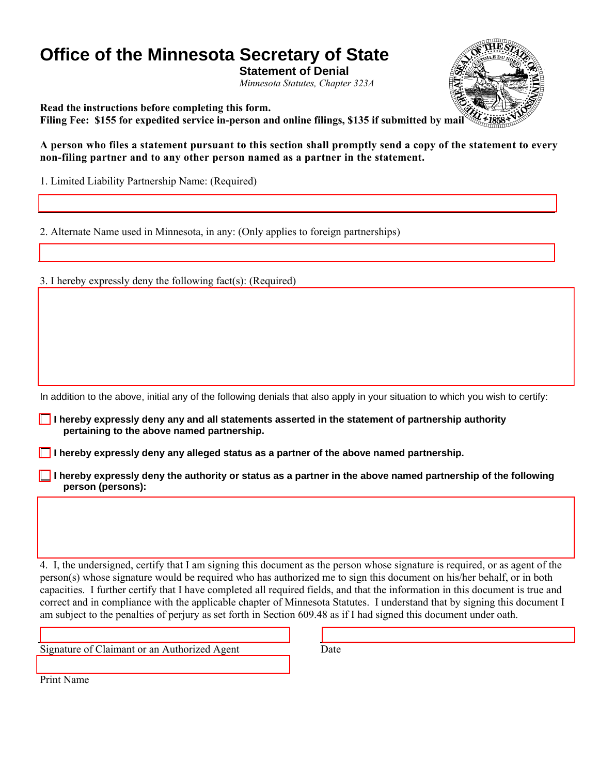# **Office of the Minnesota Secretary of State**

**Statement of Denial** 

*Minnesota Statutes, Chapter 323A* 

**Read the instructions before completing this form.** 

**Filing Fee: \$155 for expedited service in-person and online filings, \$135 if submitted by mail**

**A person who files a statement pursuant to this section shall promptly send a copy of the statement to every non-filing partner and to any other person named as a partner in the statement.** 

1. Limited Liability Partnership Name: (Required)

2. Alternate Name used in Minnesota, in any: (Only applies to foreign partnerships)

3. I hereby expressly deny the following fact(s): (Required)

In addition to the above, initial any of the following denials that also apply in your situation to which you wish to certify:

 **I hereby expressly deny any and all statements asserted in the statement of partnership authority pertaining to the above named partnership.** 

**I** I hereby expressly deny any alleged status as a partner of the above named partnership.

**I** I hereby expressly deny the authority or status as a partner in the above named partnership of the following  **person (persons):** 

4. I, the undersigned, certify that I am signing this document as the person whose signature is required, or as agent of the person(s) whose signature would be required who has authorized me to sign this document on his/her behalf, or in both capacities. I further certify that I have completed all required fields, and that the information in this document is true and correct and in compliance with the applicable chapter of Minnesota Statutes. I understand that by signing this document I am subject to the penalties of perjury as set forth in Section 609.48 as if I had signed this document under oath.

Signature of Claimant or an Authorized Agent Date

Print Name

ſ

I

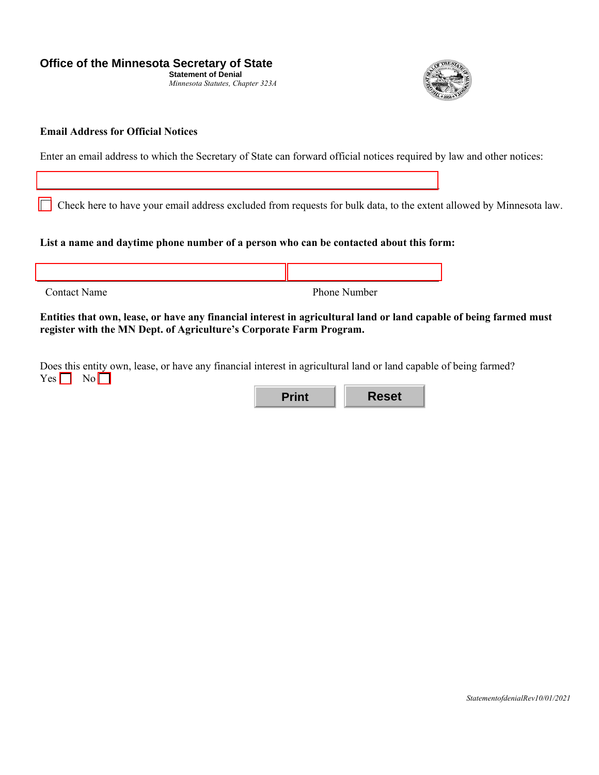**Office of the Minnesota Secretary of State** 

**Statement of Denial** *Minnesota Statutes, Chapter 323A* 



#### **Email Address for Official Notices**

∏

Enter an email address to which the Secretary of State can forward official notices required by law and other notices:

Check here to have your email address excluded from requests for bulk data, to the extent allowed by Minnesota law.

#### **List a name and daytime phone number of a person who can be contacted about this form:**

| <b>Contact Name</b> | Phone Number |
|---------------------|--------------|

**Entities that own, lease, or have any financial interest in agricultural land or land capable of being farmed must register with the MN Dept. of Agriculture's Corporate Farm Program.** 

Does this entity own, lease, or have any financial interest in agricultural land or land capable of being farmed?  $Yes \Box No \Box$